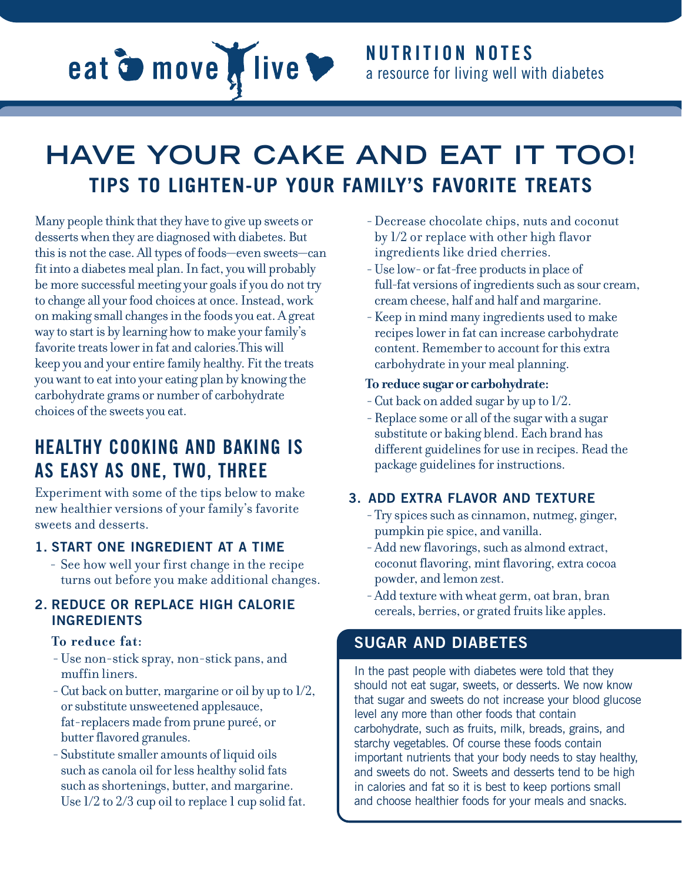

## **HAVE YOUR CAKE AND EAT IT TOO! TIPS TO LIGHTEN-UP YOUR FAMILY'S FAVORITE TREATS**

Many people think that they have to give up sweets or desserts when they are diagnosed with diabetes. But this is not the case. All types of foods—even sweets—can fit into a diabetes meal plan. In fact, you will probably be more successful meeting your goals if you do not try to change all your food choices at once. Instead, work on making small changes in the foods you eat. A great way to start is by learning how to make your family's favorite treats lower in fat and calories.This will keep you and your entire family healthy. Fit the treats you want to eat into your eating plan by knowing the carbohydrate grams or number of carbohydrate choices of the sweets you eat.

## **HEALTHY COOKING AND BAKING IS AS EASY AS ONE, TWO, THREE**

Experiment with some of the tips below to make new healthier versions of your family's favorite sweets and desserts.

#### **1. START ONE INGREDIENT AT A TIME**

- See how well your first change in the recipe turns out before you make additional changes.

#### **2. REDUCE OR REPLACE HIGH CALORIE INGREDIENTS**

#### **To reduce fat:**

- Use non-stick spray, non-stick pans, and muffin liners.
- Cut back on butter, margarine or oil by up to 1/2, or substitute unsweetened applesauce, fat-replacers made from prune pureé, or butter flavored granules.
- Substitute smaller amounts of liquid oils such as canola oil for less healthy solid fats such as shortenings, butter, and margarine. Use  $1/2$  to  $2/3$  cup oil to replace 1 cup solid fat.
- Decrease chocolate chips, nuts and coconut by 1/2 or replace with other high flavor ingredients like dried cherries.
- Use low-or fat-free products in place of full-fat versions of ingredients such as sour cream, cream cheese, half and half and margarine.
- Keep in mind many ingredients used to make recipes lower in fat can increase carbohydrate content. Remember to account for this extra carbohydrate in your meal planning.

#### **To reduce sugar or carbohydrate:**

- Cut back on added sugar by up to 1/2.
- Replace some or all of the sugar with a sugar substitute or baking blend. Each brand has different guidelines for use in recipes. Read the package guidelines for instructions.

#### **3. ADD EXTRA FLAVOR AND TEXTURE**

- Try spices such as cinnamon, nutmeg, ginger, pumpkin pie spice, and vanilla.
- Add new flavorings, such as almond extract, coconut flavoring, mint flavoring, extra cocoa powder, and lemon zest.
- Add texture with wheat germ, oat bran, bran cereals, berries, or grated fruits like apples.

### **SUGAR AND DIABETES**

In the past people with diabetes were told that they should not eat sugar, sweets, or desserts. We now know that sugar and sweets do not increase your blood glucose level any more than other foods that contain carbohydrate, such as fruits, milk, breads, grains, and starchy vegetables. Of course these foods contain important nutrients that your body needs to stay healthy, and sweets do not. Sweets and desserts tend to be high in calories and fat so it is best to keep portions small and choose healthier foods for your meals and snacks.